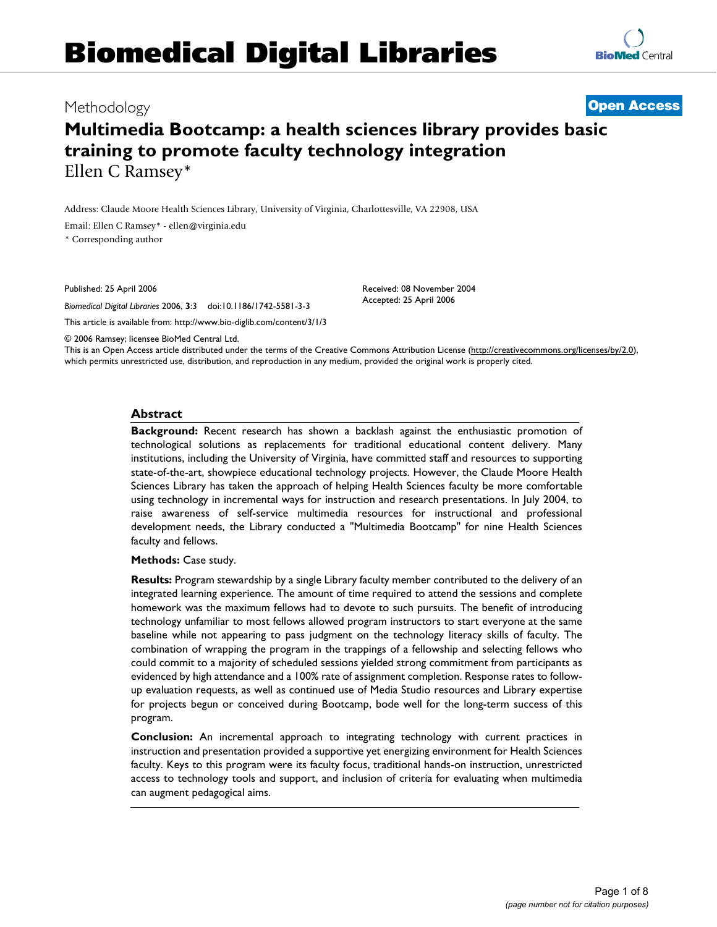# **Biomedical Digital Libraries**

## **Multimedia Bootcamp: a health sciences library provides basic training to promote faculty technology integration** Ellen C Ramsey\*

Address: Claude Moore Health Sciences Library, University of Virginia, Charlottesville, VA 22908, USA

Email: Ellen C Ramsey\* - ellen@virginia.edu

\* Corresponding author

Published: 25 April 2006

*Biomedical Digital Libraries* 2006, **3**:3 doi:10.1186/1742-5581-3-3

This article is available from: http://www.bio-diglib.com/content/3/1/3

© 2006 Ramsey; licensee BioMed Central Ltd.

This is an Open Access article distributed under the terms of the Creative Commons Attribution License (http://creativecommons.org/licenses/by/2.0), which permits unrestricted use, distribution, and reproduction in any medium, provided the original work is properly cited.

#### **Abstract**

**Background:** Recent research has shown a backlash against the enthusiastic promotion of technological solutions as replacements for traditional educational content delivery. Many institutions, including the University of Virginia, have committed staff and resources to supporting state-of-the-art, showpiece educational technology projects. However, the Claude Moore Health Sciences Library has taken the approach of helping Health Sciences faculty be more comfortable using technology in incremental ways for instruction and research presentations. In July 2004, to raise awareness of self-service multimedia resources for instructional and professional development needs, the Library conducted a "Multimedia Bootcamp" for nine Health Sciences faculty and fellows.

**Methods:** Case study.

**Results:** Program stewardship by a single Library faculty member contributed to the delivery of an integrated learning experience. The amount of time required to attend the sessions and complete homework was the maximum fellows had to devote to such pursuits. The benefit of introducing technology unfamiliar to most fellows allowed program instructors to start everyone at the same baseline while not appearing to pass judgment on the technology literacy skills of faculty. The combination of wrapping the program in the trappings of a fellowship and selecting fellows who could commit to a majority of scheduled sessions yielded strong commitment from participants as evidenced by high attendance and a 100% rate of assignment completion. Response rates to followup evaluation requests, as well as continued use of Media Studio resources and Library expertise for projects begun or conceived during Bootcamp, bode well for the long-term success of this program.

**Conclusion:** An incremental approach to integrating technology with current practices in instruction and presentation provided a supportive yet energizing environment for Health Sciences faculty. Keys to this program were its faculty focus, traditional hands-on instruction, unrestricted access to technology tools and support, and inclusion of criteria for evaluating when multimedia can augment pedagogical aims.

> Page 1 of 8 *(page number not for citation purposes)*



Methodology **Open Access**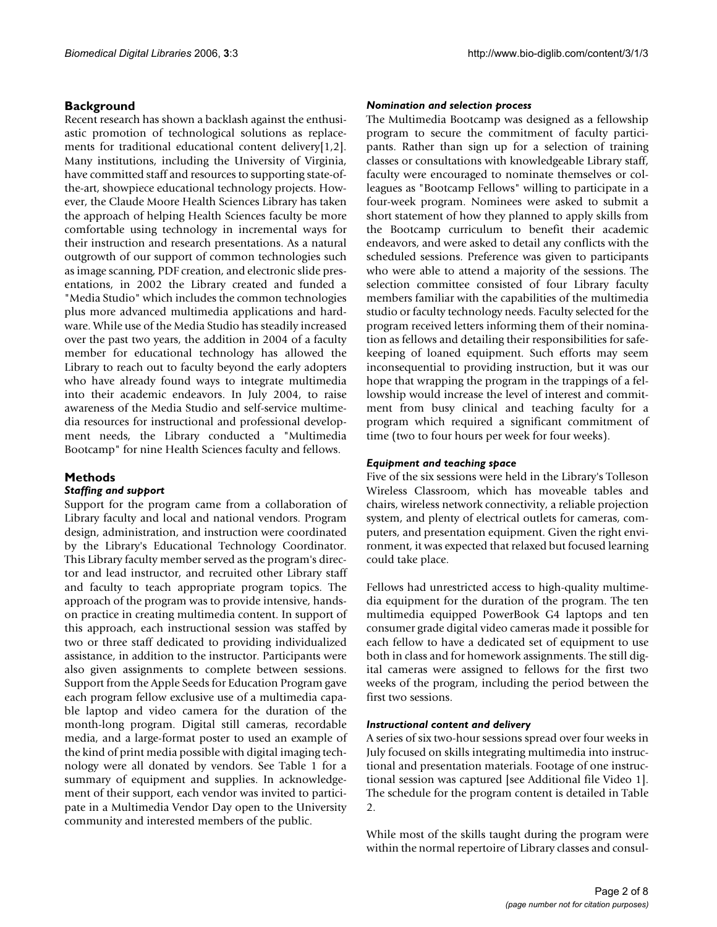#### **Background**

Recent research has shown a backlash against the enthusiastic promotion of technological solutions as replacements for traditional educational content delivery[1,2]. Many institutions, including the University of Virginia, have committed staff and resources to supporting state-ofthe-art, showpiece educational technology projects. However, the Claude Moore Health Sciences Library has taken the approach of helping Health Sciences faculty be more comfortable using technology in incremental ways for their instruction and research presentations. As a natural outgrowth of our support of common technologies such as image scanning, PDF creation, and electronic slide presentations, in 2002 the Library created and funded a "Media Studio" which includes the common technologies plus more advanced multimedia applications and hardware. While use of the Media Studio has steadily increased over the past two years, the addition in 2004 of a faculty member for educational technology has allowed the Library to reach out to faculty beyond the early adopters who have already found ways to integrate multimedia into their academic endeavors. In July 2004, to raise awareness of the Media Studio and self-service multimedia resources for instructional and professional development needs, the Library conducted a "Multimedia Bootcamp" for nine Health Sciences faculty and fellows.

#### **Methods**

#### *Staffing and support*

Support for the program came from a collaboration of Library faculty and local and national vendors. Program design, administration, and instruction were coordinated by the Library's Educational Technology Coordinator. This Library faculty member served as the program's director and lead instructor, and recruited other Library staff and faculty to teach appropriate program topics. The approach of the program was to provide intensive, handson practice in creating multimedia content. In support of this approach, each instructional session was staffed by two or three staff dedicated to providing individualized assistance, in addition to the instructor. Participants were also given assignments to complete between sessions. Support from the Apple Seeds for Education Program gave each program fellow exclusive use of a multimedia capable laptop and video camera for the duration of the month-long program. Digital still cameras, recordable media, and a large-format poster to used an example of the kind of print media possible with digital imaging technology were all donated by vendors. See Table 1 for a summary of equipment and supplies. In acknowledgement of their support, each vendor was invited to participate in a Multimedia Vendor Day open to the University community and interested members of the public.

#### *Nomination and selection process*

The Multimedia Bootcamp was designed as a fellowship program to secure the commitment of faculty participants. Rather than sign up for a selection of training classes or consultations with knowledgeable Library staff, faculty were encouraged to nominate themselves or colleagues as "Bootcamp Fellows" willing to participate in a four-week program. Nominees were asked to submit a short statement of how they planned to apply skills from the Bootcamp curriculum to benefit their academic endeavors, and were asked to detail any conflicts with the scheduled sessions. Preference was given to participants who were able to attend a majority of the sessions. The selection committee consisted of four Library faculty members familiar with the capabilities of the multimedia studio or faculty technology needs. Faculty selected for the program received letters informing them of their nomination as fellows and detailing their responsibilities for safekeeping of loaned equipment. Such efforts may seem inconsequential to providing instruction, but it was our hope that wrapping the program in the trappings of a fellowship would increase the level of interest and commitment from busy clinical and teaching faculty for a program which required a significant commitment of time (two to four hours per week for four weeks).

#### *Equipment and teaching space*

Five of the six sessions were held in the Library's Tolleson Wireless Classroom, which has moveable tables and chairs, wireless network connectivity, a reliable projection system, and plenty of electrical outlets for cameras, computers, and presentation equipment. Given the right environment, it was expected that relaxed but focused learning could take place.

Fellows had unrestricted access to high-quality multimedia equipment for the duration of the program. The ten multimedia equipped PowerBook G4 laptops and ten consumer grade digital video cameras made it possible for each fellow to have a dedicated set of equipment to use both in class and for homework assignments. The still digital cameras were assigned to fellows for the first two weeks of the program, including the period between the first two sessions.

#### *Instructional content and delivery*

A series of six two-hour sessions spread over four weeks in July focused on skills integrating multimedia into instructional and presentation materials. Footage of one instructional session was captured [see Additional file Video 1]. The schedule for the program content is detailed in Table 2.

While most of the skills taught during the program were within the normal repertoire of Library classes and consul-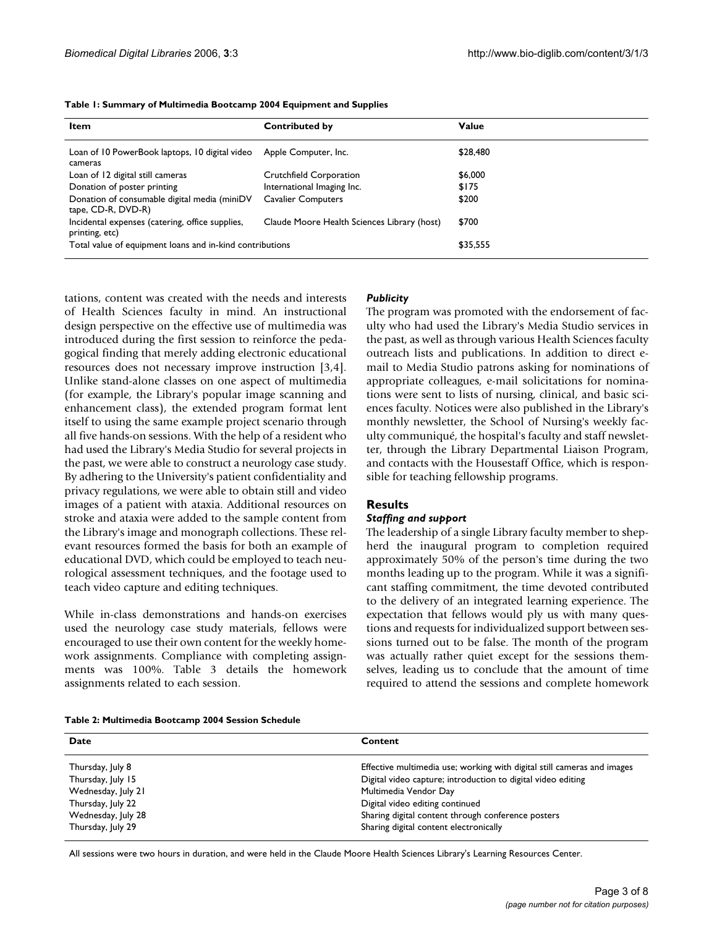| Item                                                               | <b>Contributed by</b>                       | Value    |
|--------------------------------------------------------------------|---------------------------------------------|----------|
| Loan of 10 PowerBook laptops, 10 digital video<br>cameras          | Apple Computer, Inc.                        | \$28,480 |
| Loan of 12 digital still cameras                                   | Crutchfield Corporation                     | \$6,000  |
| Donation of poster printing                                        | International Imaging Inc.                  | \$175    |
| Donation of consumable digital media (miniDV<br>tape, CD-R, DVD-R) | <b>Cavalier Computers</b>                   | \$200    |
| Incidental expenses (catering, office supplies,<br>printing, etc)  | Claude Moore Health Sciences Library (host) | \$700    |
| Total value of equipment loans and in-kind contributions           |                                             | \$35,555 |

| Table 1: Summary of Multimedia Bootcamp 2004 Equipment and Supplies |  |  |  |  |
|---------------------------------------------------------------------|--|--|--|--|
|---------------------------------------------------------------------|--|--|--|--|

tations, content was created with the needs and interests of Health Sciences faculty in mind. An instructional design perspective on the effective use of multimedia was introduced during the first session to reinforce the pedagogical finding that merely adding electronic educational resources does not necessary improve instruction [3,4]. Unlike stand-alone classes on one aspect of multimedia (for example, the Library's popular image scanning and enhancement class), the extended program format lent itself to using the same example project scenario through all five hands-on sessions. With the help of a resident who had used the Library's Media Studio for several projects in the past, we were able to construct a neurology case study. By adhering to the University's patient confidentiality and privacy regulations, we were able to obtain still and video images of a patient with ataxia. Additional resources on stroke and ataxia were added to the sample content from the Library's image and monograph collections. These relevant resources formed the basis for both an example of educational DVD, which could be employed to teach neurological assessment techniques, and the footage used to teach video capture and editing techniques.

While in-class demonstrations and hands-on exercises used the neurology case study materials, fellows were encouraged to use their own content for the weekly homework assignments. Compliance with completing assignments was 100%. Table 3 details the homework assignments related to each session.

#### *Publicity*

The program was promoted with the endorsement of faculty who had used the Library's Media Studio services in the past, as well as through various Health Sciences faculty outreach lists and publications. In addition to direct email to Media Studio patrons asking for nominations of appropriate colleagues, e-mail solicitations for nominations were sent to lists of nursing, clinical, and basic sciences faculty. Notices were also published in the Library's monthly newsletter, the School of Nursing's weekly faculty communiqué, the hospital's faculty and staff newsletter, through the Library Departmental Liaison Program, and contacts with the Housestaff Office, which is responsible for teaching fellowship programs.

#### **Results**

#### *Staffing and support*

The leadership of a single Library faculty member to shepherd the inaugural program to completion required approximately 50% of the person's time during the two months leading up to the program. While it was a significant staffing commitment, the time devoted contributed to the delivery of an integrated learning experience. The expectation that fellows would ply us with many questions and requests for individualized support between sessions turned out to be false. The month of the program was actually rather quiet except for the sessions themselves, leading us to conclude that the amount of time required to attend the sessions and complete homework

| Table 2: Multimedia Bootcamp 2004 Session Schedule |  |  |  |
|----------------------------------------------------|--|--|--|
|----------------------------------------------------|--|--|--|

| Content                                                                 |
|-------------------------------------------------------------------------|
| Effective multimedia use; working with digital still cameras and images |
| Digital video capture; introduction to digital video editing            |
| Multimedia Vendor Day                                                   |
| Digital video editing continued                                         |
| Sharing digital content through conference posters                      |
| Sharing digital content electronically                                  |
|                                                                         |

All sessions were two hours in duration, and were held in the Claude Moore Health Sciences Library's Learning Resources Center.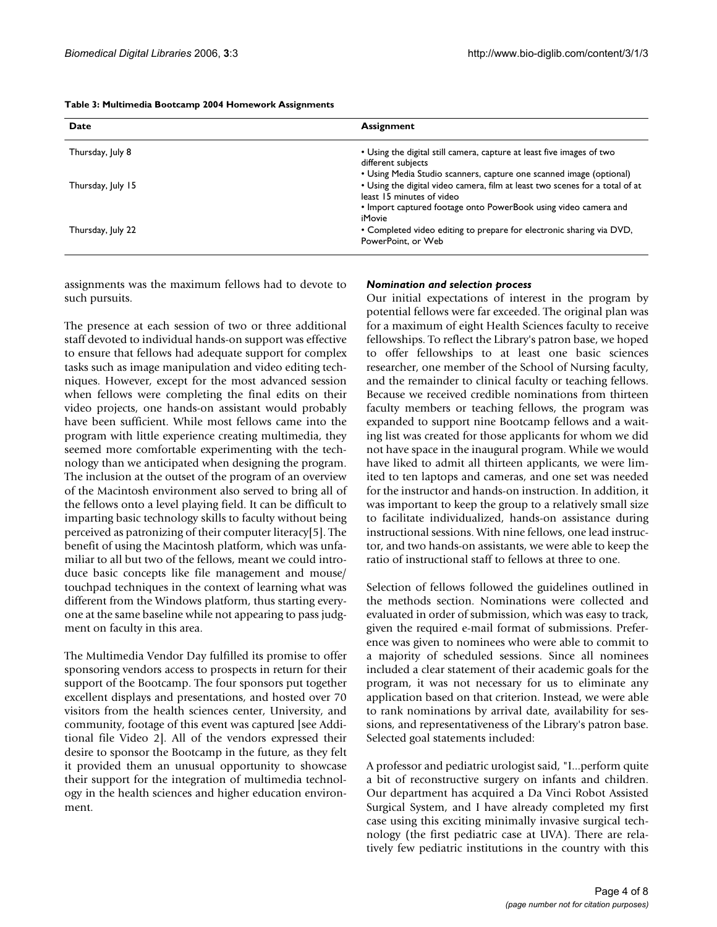| Date              | <b>Assignment</b>                                                                                                                                                                      |
|-------------------|----------------------------------------------------------------------------------------------------------------------------------------------------------------------------------------|
| Thursday, July 8  | • Using the digital still camera, capture at least five images of two<br>different subjects<br>• Using Media Studio scanners, capture one scanned image (optional)                     |
| Thursday, July 15 | • Using the digital video camera, film at least two scenes for a total of at<br>least 15 minutes of video<br>• Import captured footage onto PowerBook using video camera and<br>iMovie |
| Thursday, July 22 | • Completed video editing to prepare for electronic sharing via DVD,<br>PowerPoint, or Web                                                                                             |

| Table 3: Multimedia Bootcamp 2004 Homework Assignments |  |  |  |
|--------------------------------------------------------|--|--|--|
|--------------------------------------------------------|--|--|--|

assignments was the maximum fellows had to devote to such pursuits.

The presence at each session of two or three additional staff devoted to individual hands-on support was effective to ensure that fellows had adequate support for complex tasks such as image manipulation and video editing techniques. However, except for the most advanced session when fellows were completing the final edits on their video projects, one hands-on assistant would probably have been sufficient. While most fellows came into the program with little experience creating multimedia, they seemed more comfortable experimenting with the technology than we anticipated when designing the program. The inclusion at the outset of the program of an overview of the Macintosh environment also served to bring all of the fellows onto a level playing field. It can be difficult to imparting basic technology skills to faculty without being perceived as patronizing of their computer literacy[5]. The benefit of using the Macintosh platform, which was unfamiliar to all but two of the fellows, meant we could introduce basic concepts like file management and mouse/ touchpad techniques in the context of learning what was different from the Windows platform, thus starting everyone at the same baseline while not appearing to pass judgment on faculty in this area.

The Multimedia Vendor Day fulfilled its promise to offer sponsoring vendors access to prospects in return for their support of the Bootcamp. The four sponsors put together excellent displays and presentations, and hosted over 70 visitors from the health sciences center, University, and community, footage of this event was captured [see Additional file Video 2]. All of the vendors expressed their desire to sponsor the Bootcamp in the future, as they felt it provided them an unusual opportunity to showcase their support for the integration of multimedia technology in the health sciences and higher education environment.

#### *Nomination and selection process*

Our initial expectations of interest in the program by potential fellows were far exceeded. The original plan was for a maximum of eight Health Sciences faculty to receive fellowships. To reflect the Library's patron base, we hoped to offer fellowships to at least one basic sciences researcher, one member of the School of Nursing faculty, and the remainder to clinical faculty or teaching fellows. Because we received credible nominations from thirteen faculty members or teaching fellows, the program was expanded to support nine Bootcamp fellows and a waiting list was created for those applicants for whom we did not have space in the inaugural program. While we would have liked to admit all thirteen applicants, we were limited to ten laptops and cameras, and one set was needed for the instructor and hands-on instruction. In addition, it was important to keep the group to a relatively small size to facilitate individualized, hands-on assistance during instructional sessions. With nine fellows, one lead instructor, and two hands-on assistants, we were able to keep the ratio of instructional staff to fellows at three to one.

Selection of fellows followed the guidelines outlined in the methods section. Nominations were collected and evaluated in order of submission, which was easy to track, given the required e-mail format of submissions. Preference was given to nominees who were able to commit to a majority of scheduled sessions. Since all nominees included a clear statement of their academic goals for the program, it was not necessary for us to eliminate any application based on that criterion. Instead, we were able to rank nominations by arrival date, availability for sessions, and representativeness of the Library's patron base. Selected goal statements included:

A professor and pediatric urologist said, "I...perform quite a bit of reconstructive surgery on infants and children. Our department has acquired a Da Vinci Robot Assisted Surgical System, and I have already completed my first case using this exciting minimally invasive surgical technology (the first pediatric case at UVA). There are relatively few pediatric institutions in the country with this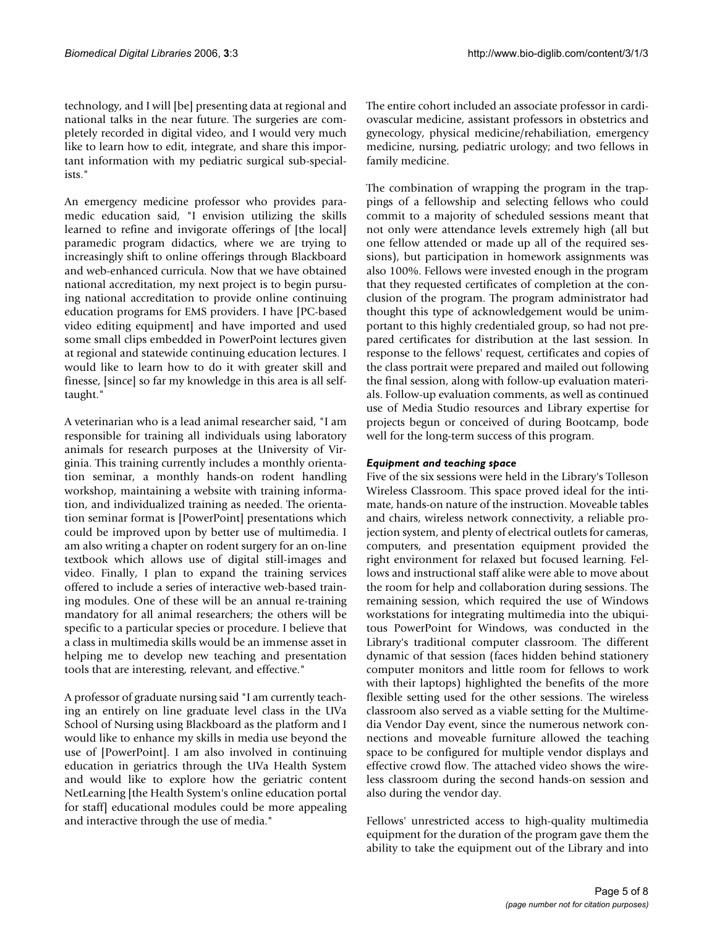technology, and I will [be] presenting data at regional and national talks in the near future. The surgeries are completely recorded in digital video, and I would very much like to learn how to edit, integrate, and share this important information with my pediatric surgical sub-specialists."

An emergency medicine professor who provides paramedic education said, "I envision utilizing the skills learned to refine and invigorate offerings of [the local] paramedic program didactics, where we are trying to increasingly shift to online offerings through Blackboard and web-enhanced curricula. Now that we have obtained national accreditation, my next project is to begin pursuing national accreditation to provide online continuing education programs for EMS providers. I have [PC-based video editing equipment] and have imported and used some small clips embedded in PowerPoint lectures given at regional and statewide continuing education lectures. I would like to learn how to do it with greater skill and finesse, [since] so far my knowledge in this area is all selftaught."

A veterinarian who is a lead animal researcher said, "I am responsible for training all individuals using laboratory animals for research purposes at the University of Virginia. This training currently includes a monthly orientation seminar, a monthly hands-on rodent handling workshop, maintaining a website with training information, and individualized training as needed. The orientation seminar format is [PowerPoint] presentations which could be improved upon by better use of multimedia. I am also writing a chapter on rodent surgery for an on-line textbook which allows use of digital still-images and video. Finally, I plan to expand the training services offered to include a series of interactive web-based training modules. One of these will be an annual re-training mandatory for all animal researchers; the others will be specific to a particular species or procedure. I believe that a class in multimedia skills would be an immense asset in helping me to develop new teaching and presentation tools that are interesting, relevant, and effective."

A professor of graduate nursing said "I am currently teaching an entirely on line graduate level class in the UVa School of Nursing using Blackboard as the platform and I would like to enhance my skills in media use beyond the use of [PowerPoint]. I am also involved in continuing education in geriatrics through the UVa Health System and would like to explore how the geriatric content NetLearning [the Health System's online education portal for staff] educational modules could be more appealing and interactive through the use of media."

The entire cohort included an associate professor in cardiovascular medicine, assistant professors in obstetrics and gynecology, physical medicine/rehabiliation, emergency medicine, nursing, pediatric urology; and two fellows in family medicine.

The combination of wrapping the program in the trappings of a fellowship and selecting fellows who could commit to a majority of scheduled sessions meant that not only were attendance levels extremely high (all but one fellow attended or made up all of the required sessions), but participation in homework assignments was also 100%. Fellows were invested enough in the program that they requested certificates of completion at the conclusion of the program. The program administrator had thought this type of acknowledgement would be unimportant to this highly credentialed group, so had not prepared certificates for distribution at the last session. In response to the fellows' request, certificates and copies of the class portrait were prepared and mailed out following the final session, along with follow-up evaluation materials. Follow-up evaluation comments, as well as continued use of Media Studio resources and Library expertise for projects begun or conceived of during Bootcamp, bode well for the long-term success of this program.

#### *Equipment and teaching space*

Five of the six sessions were held in the Library's Tolleson Wireless Classroom. This space proved ideal for the intimate, hands-on nature of the instruction. Moveable tables and chairs, wireless network connectivity, a reliable projection system, and plenty of electrical outlets for cameras, computers, and presentation equipment provided the right environment for relaxed but focused learning. Fellows and instructional staff alike were able to move about the room for help and collaboration during sessions. The remaining session, which required the use of Windows workstations for integrating multimedia into the ubiquitous PowerPoint for Windows, was conducted in the Library's traditional computer classroom. The different dynamic of that session (faces hidden behind stationery computer monitors and little room for fellows to work with their laptops) highlighted the benefits of the more flexible setting used for the other sessions. The wireless classroom also served as a viable setting for the Multimedia Vendor Day event, since the numerous network connections and moveable furniture allowed the teaching space to be configured for multiple vendor displays and effective crowd flow. The attached video shows the wireless classroom during the second hands-on session and also during the vendor day.

Fellows' unrestricted access to high-quality multimedia equipment for the duration of the program gave them the ability to take the equipment out of the Library and into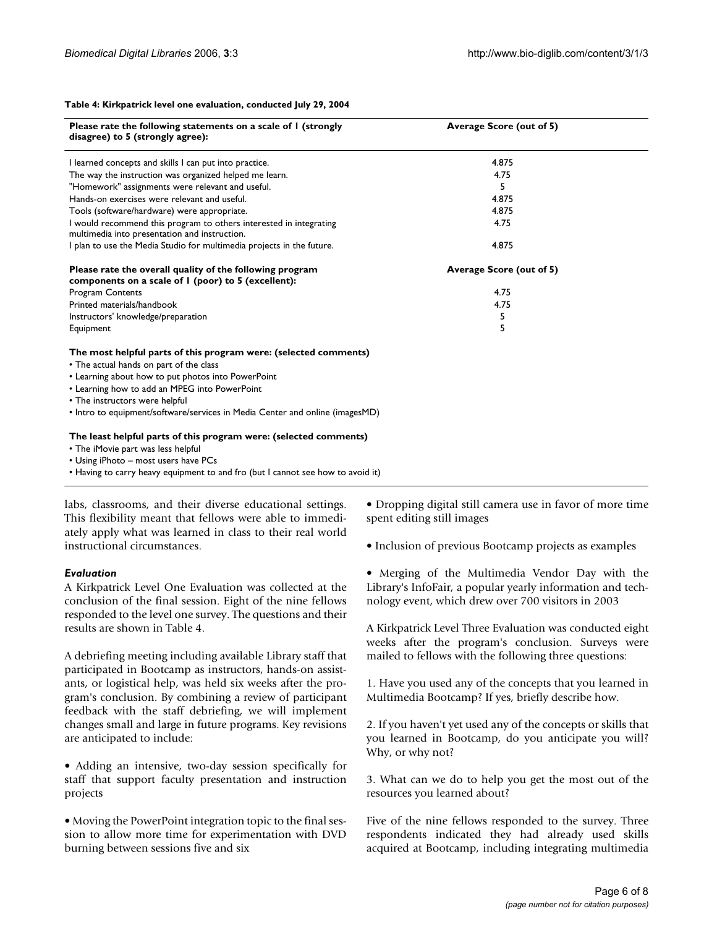#### **Table 4: Kirkpatrick level one evaluation, conducted July 29, 2004**

| Please rate the following statements on a scale of I (strongly<br>disagree) to 5 (strongly agree):                                                                                                                                                                                                                                   | Average Score (out of 5) |  |
|--------------------------------------------------------------------------------------------------------------------------------------------------------------------------------------------------------------------------------------------------------------------------------------------------------------------------------------|--------------------------|--|
| I learned concepts and skills I can put into practice.                                                                                                                                                                                                                                                                               | 4.875                    |  |
| The way the instruction was organized helped me learn.                                                                                                                                                                                                                                                                               | 4.75                     |  |
| "Homework" assignments were relevant and useful.                                                                                                                                                                                                                                                                                     | 5.                       |  |
| Hands-on exercises were relevant and useful.                                                                                                                                                                                                                                                                                         | 4.875                    |  |
| Tools (software/hardware) were appropriate.                                                                                                                                                                                                                                                                                          | 4.875                    |  |
| I would recommend this program to others interested in integrating<br>multimedia into presentation and instruction.                                                                                                                                                                                                                  | 4.75                     |  |
| I plan to use the Media Studio for multimedia projects in the future.                                                                                                                                                                                                                                                                | 4.875                    |  |
| Please rate the overall quality of the following program<br>components on a scale of I (poor) to 5 (excellent):                                                                                                                                                                                                                      | Average Score (out of 5) |  |
| <b>Program Contents</b>                                                                                                                                                                                                                                                                                                              | 4.75                     |  |
| Printed materials/handbook                                                                                                                                                                                                                                                                                                           | 4.75                     |  |
| Instructors' knowledge/preparation                                                                                                                                                                                                                                                                                                   | 5                        |  |
| Equipment                                                                                                                                                                                                                                                                                                                            | 5                        |  |
| The most helpful parts of this program were: (selected comments)<br>• The actual hands on part of the class<br>• Learning about how to put photos into PowerPoint<br>• Learning how to add an MPEG into PowerPoint<br>• The instructors were helpful<br>• Intro to equipment/software/services in Media Center and online (imagesMD) |                          |  |
| The least helpful parts of this program were: (selected comments)<br>• The iMovie part was less helpful<br>• Using iPhoto – most users have PCs                                                                                                                                                                                      |                          |  |

• Having to carry heavy equipment to and fro (but I cannot see how to avoid it)

labs, classrooms, and their diverse educational settings. This flexibility meant that fellows were able to immediately apply what was learned in class to their real world instructional circumstances.

#### *Evaluation*

A Kirkpatrick Level One Evaluation was collected at the conclusion of the final session. Eight of the nine fellows responded to the level one survey. The questions and their results are shown in Table 4.

A debriefing meeting including available Library staff that participated in Bootcamp as instructors, hands-on assistants, or logistical help, was held six weeks after the program's conclusion. By combining a review of participant feedback with the staff debriefing, we will implement changes small and large in future programs. Key revisions are anticipated to include:

• Adding an intensive, two-day session specifically for staff that support faculty presentation and instruction projects

• Moving the PowerPoint integration topic to the final session to allow more time for experimentation with DVD burning between sessions five and six

• Dropping digital still camera use in favor of more time spent editing still images

• Inclusion of previous Bootcamp projects as examples

• Merging of the Multimedia Vendor Day with the Library's InfoFair, a popular yearly information and technology event, which drew over 700 visitors in 2003

A Kirkpatrick Level Three Evaluation was conducted eight weeks after the program's conclusion. Surveys were mailed to fellows with the following three questions:

1. Have you used any of the concepts that you learned in Multimedia Bootcamp? If yes, briefly describe how.

2. If you haven't yet used any of the concepts or skills that you learned in Bootcamp, do you anticipate you will? Why, or why not?

3. What can we do to help you get the most out of the resources you learned about?

Five of the nine fellows responded to the survey. Three respondents indicated they had already used skills acquired at Bootcamp, including integrating multimedia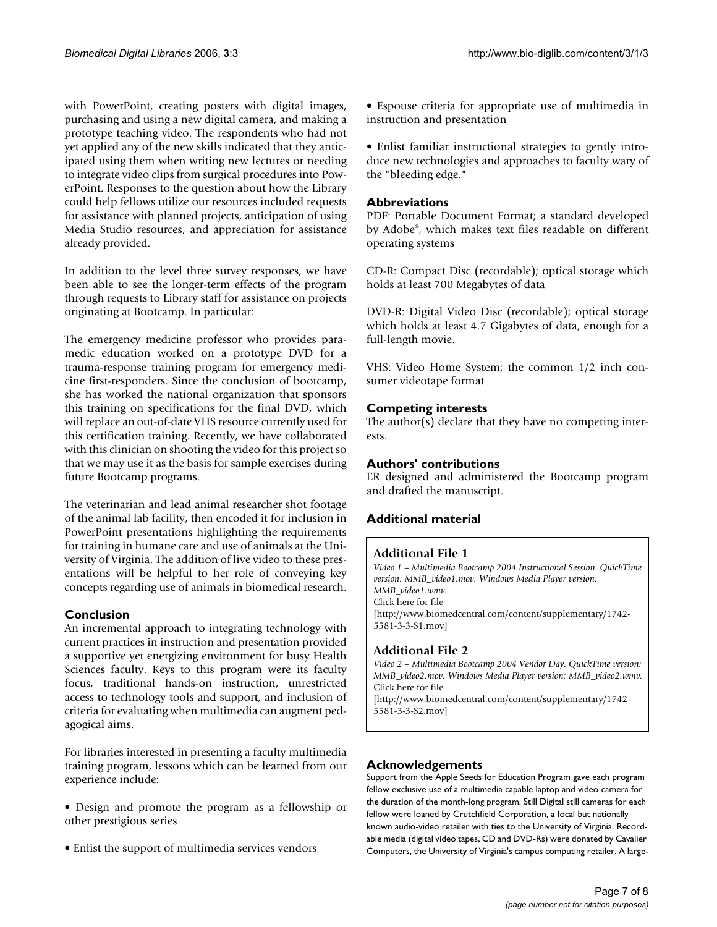with PowerPoint, creating posters with digital images, purchasing and using a new digital camera, and making a prototype teaching video. The respondents who had not yet applied any of the new skills indicated that they anticipated using them when writing new lectures or needing to integrate video clips from surgical procedures into PowerPoint. Responses to the question about how the Library could help fellows utilize our resources included requests for assistance with planned projects, anticipation of using Media Studio resources, and appreciation for assistance already provided.

In addition to the level three survey responses, we have been able to see the longer-term effects of the program through requests to Library staff for assistance on projects originating at Bootcamp. In particular:

The emergency medicine professor who provides paramedic education worked on a prototype DVD for a trauma-response training program for emergency medicine first-responders. Since the conclusion of bootcamp, she has worked the national organization that sponsors this training on specifications for the final DVD, which will replace an out-of-date VHS resource currently used for this certification training. Recently, we have collaborated with this clinician on shooting the video for this project so that we may use it as the basis for sample exercises during future Bootcamp programs.

The veterinarian and lead animal researcher shot footage of the animal lab facility, then encoded it for inclusion in PowerPoint presentations highlighting the requirements for training in humane care and use of animals at the University of Virginia. The addition of live video to these presentations will be helpful to her role of conveying key concepts regarding use of animals in biomedical research.

#### **Conclusion**

An incremental approach to integrating technology with current practices in instruction and presentation provided a supportive yet energizing environment for busy Health Sciences faculty. Keys to this program were its faculty focus, traditional hands-on instruction, unrestricted access to technology tools and support, and inclusion of criteria for evaluating when multimedia can augment pedagogical aims.

For libraries interested in presenting a faculty multimedia training program, lessons which can be learned from our experience include:

- Design and promote the program as a fellowship or other prestigious series
- Enlist the support of multimedia services vendors

• Espouse criteria for appropriate use of multimedia in instruction and presentation

• Enlist familiar instructional strategies to gently introduce new technologies and approaches to faculty wary of the "bleeding edge."

#### **Abbreviations**

PDF: Portable Document Format; a standard developed by Adobe®, which makes text files readable on different operating systems

CD-R: Compact Disc (recordable); optical storage which holds at least 700 Megabytes of data

DVD-R: Digital Video Disc (recordable); optical storage which holds at least 4.7 Gigabytes of data, enough for a full-length movie.

VHS: Video Home System; the common 1/2 inch consumer videotape format

#### **Competing interests**

The author(s) declare that they have no competing interests.

#### **Authors' contributions**

ER designed and administered the Bootcamp program and drafted the manuscript.

### **Additional material**

#### **Additional File 1**

*Video 1 – Multimedia Bootcamp 2004 Instructional Session. QuickTime version: MMB\_video1.mov. Windows Media Player version: MMB\_video1.wmv.* Click here for file [http://www.biomedcentral.com/content/supplementary/1742- 5581-3-3-S1.mov]

#### **Additional File 2**

*Video 2 – Multimedia Bootcamp 2004 Vendor Day. QuickTime version: MMB\_video2.mov. Windows Media Player version: MMB\_video2.wmv.* Click here for file [http://www.biomedcentral.com/content/supplementary/1742- 5581-3-3-S2.mov]

#### **Acknowledgements**

Support from the Apple Seeds for Education Program gave each program fellow exclusive use of a multimedia capable laptop and video camera for the duration of the month-long program. Still Digital still cameras for each fellow were loaned by Crutchfield Corporation, a local but nationally known audio-video retailer with ties to the University of Virginia. Recordable media (digital video tapes, CD and DVD-Rs) were donated by Cavalier Computers, the University of Virginia's campus computing retailer. A large